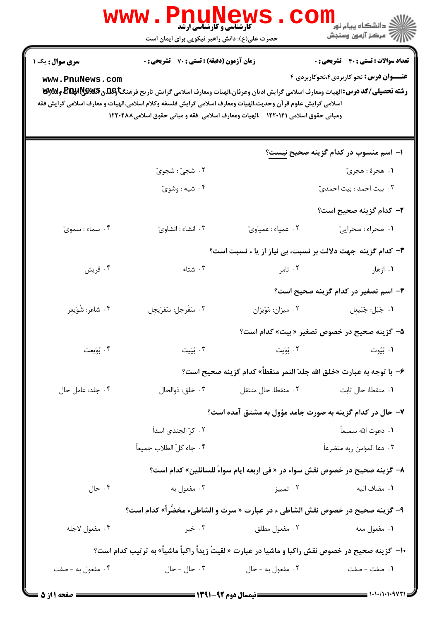|                        | <b>کارشناسی و کارشناسی ارشد</b><br>حضرت علی(ع): دانش راهبر نیکویی برای ایمان است                                                                                                                                                                                                                                                        |                     | ران دانشگاه پيام نور <mark>−ا</mark><br>ا <mark>ر</mark> √مرکز آزمون وسنجش  |
|------------------------|-----------------------------------------------------------------------------------------------------------------------------------------------------------------------------------------------------------------------------------------------------------------------------------------------------------------------------------------|---------------------|-----------------------------------------------------------------------------|
| <b>سری سوال :</b> یک ۱ | زمان آزمون (دقیقه) : تستی : 70 قشریحی : 0                                                                                                                                                                                                                                                                                               |                     | <b>تعداد سوالات : تستی : 40 ٪ تشریحی : 0</b>                                |
| www.PnuNews.com        | رشته تحصیلی/کد درس:الهیات ومعارف اسلامی گرایش ادیان وعرفان،الهیات ومعارف اسلامی گرایش تاریخ فرهنگتاویلگی ولیکلویلاویلایی ولایا و تا<br>اسلامی گرایش علوم قر آن وحدیث،الهیات ومعارف اسلامی گرایش فلسفه وکلام اسلامی،الهیات و معارف اسلامی گرایش فقه<br>ومبانی حقوق اسلامی ۱۲۲۰۱۴۱ - ،الهیات ومعارف اسلامی-فقه و مبانی حقوق اسلامی۱۲۲۰۴۸۸ |                     | <b>عنـــوان درس:</b> نحو کاربردی۴،نحوکاربردی ۴                              |
|                        |                                                                                                                                                                                                                                                                                                                                         |                     | ۱– اسم منسوب در کدام گزینه صحیح نیست؟                                       |
|                        | ٢. شجيّ : شجويّ                                                                                                                                                                                                                                                                                                                         |                     | ١. هجرة : هجريّ                                                             |
|                        | ۰۴ شیه : وشویّ                                                                                                                                                                                                                                                                                                                          |                     | ۰۳ بیت احمد : بیت احمدیّ                                                    |
|                        |                                                                                                                                                                                                                                                                                                                                         |                     | <b>۲</b> – کدام گزینه صحیح است؟                                             |
| ۰۴ سماء : سمويّ        | ۰۳ انشاء : انشاويّ                                                                                                                                                                                                                                                                                                                      | ٠٢ عمياء : عمياويّ  | ١. صحراء : صحراييّ                                                          |
|                        |                                                                                                                                                                                                                                                                                                                                         |                     | ۳– کدام گزینه جهت دلالت بر نسبت، بی نیاز از یا ء نسبت است؟                  |
| ۰۴ قريش                | ۰۳ شتاء $\cdot$                                                                                                                                                                                                                                                                                                                         | ۰۲ تامر             | ۰۱ ازهار                                                                    |
|                        |                                                                                                                                                                                                                                                                                                                                         |                     | ۴– اسم تصغیر در کدام گزینه صحیح است؟                                        |
| ۰۴ شاعر: شُوَيعِر      | ٠٣ سَفَرجل: سُفرَيجِل                                                                                                                                                                                                                                                                                                                   | ٠٢ ميزان: مُوَيزان  | ٠١ جَبَل: جُبَيعِل                                                          |
|                        |                                                                                                                                                                                                                                                                                                                                         |                     | ۵– گزینه صحیح در خصوص تصغیر « بیت» کدام است؟                                |
| ۰۴ بُوَيعت             | ۰۳ بُیَیت                                                                                                                                                                                                                                                                                                                               | ۰۲ بُوَيت           | ۰۱ بَیُوت                                                                   |
|                        |                                                                                                                                                                                                                                                                                                                                         |                     | ۶− با توجه به عبارت «خلق الله جلدَ النمر منقطاً» كدام گزينه صحيح است؟       |
| ۰۴ جلد: عامل حال       | ۰۳ خلق: ذوالحال                                                                                                                                                                                                                                                                                                                         | ۰۲ منقطا: حال منتقل | ٠١. منقطا: حال ثابت                                                         |
|                        |                                                                                                                                                                                                                                                                                                                                         |                     | ۷- حال در کدام گزینه به صورت جامد مؤول به مشتق آمده است؟                    |
|                        | ۰۲ کرّ الجندی اسداً                                                                                                                                                                                                                                                                                                                     |                     | ٠١. دعوت الله سميعاً                                                        |
|                        | ۰۴ جاء كلّ الطلاب جميعاً                                                                                                                                                                                                                                                                                                                |                     | ٠٣ دعا المؤمن ربه متضرعاً                                                   |
|                        |                                                                                                                                                                                                                                                                                                                                         |                     | ٨– گزينه صحيح در خصوص نقش سواء در « في اربعه ايام سواءَ للسائلين» كدام است؟ |
| ۰۴ حال                 | ۰۳ مفعول به                                                                                                                                                                                                                                                                                                                             | ۰۲ تمییز            | ٠١. مضاف اليه                                                               |
|                        | ۹- گزينه صحيح در خصوص نقش الشاطي ء در عبارت « سرت و الشاطيء مخضَّراً» كدام است؟                                                                                                                                                                                                                                                         |                     |                                                                             |
| ۰۴ مفعول لاجله         | ۰۳ خبر                                                                                                                                                                                                                                                                                                                                  | ۰۲ مفعول مطلق       | ۰۱ مفعول معه                                                                |
|                        | ∙ا−  گزینه صحیح در خصوص نقش راکبا و ماشیا در عبارت « لقیتٌ زیداً راکباً ماشیاً» به ترتیب کدام است؟                                                                                                                                                                                                                                      |                     |                                                                             |
| ۰۴ مفعول به - صفت      | ۰۳ حال - حال                                                                                                                                                                                                                                                                                                                            | ۰۲ مفعول به - حال   | ١. صفت - صفت                                                                |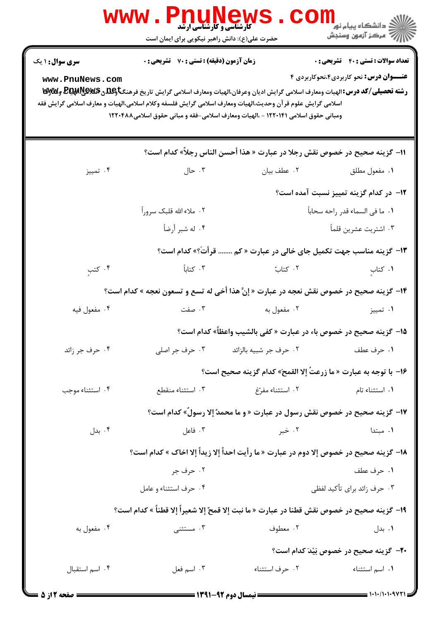|                      | <b>WWW</b><br><b>گارشناسی و کارشناسی ارشد</b><br>حضرت علی(ع): دانش راهبر نیکویی برای ایمان است                                                                                                   |                                         | <mark>ڪ دانشڪاه پيام نور</mark><br>رآ - مرڪز آزمون وسنڊش                          |
|----------------------|--------------------------------------------------------------------------------------------------------------------------------------------------------------------------------------------------|-----------------------------------------|-----------------------------------------------------------------------------------|
| سری سوال: ۱ یک       | زمان آزمون (دقیقه) : تستی : 70 گشریحی : 0                                                                                                                                                        |                                         | <b>تعداد سوالات : تستي : 40 ٪ تشريحي : 0</b>                                      |
| www.PnuNews.com      | رشته تحصیلی/کد درس:الهیات ومعارف اسلامی گرایش ادیان وعرفان،الهیات ومعارف اسلامی گرایش تاریخ فرهنگتاویلهی لایکلیلهای وکلالای تا                                                                   |                                         | <b>عنـــوان درس:</b> نحو کاربردی۴،نحوکاربردی ۴                                    |
|                      | اسلامی گرایش علوم قر آن وحدیث،الهیات ومعارف اسلامی گرایش فلسفه وکلام اسلامی،الهیات و معارف اسلامی گرایش فقه<br>ومبانی حقوق اسلامی ۱۲۲۰۱۴۱ - ،الهیات ومعارف اسلامی-فقه و مبانی حقوق اسلامی۱۲۲۰۴۸۸ |                                         |                                                                                   |
|                      |                                                                                                                                                                                                  |                                         | 11- گزينه صحيح در خصوص نقش رجلا در عبارت « هذا أحسن الناس رجلاً» كدام است؟        |
| ۰۴ تمييز             | ۰۳ حال $\cdot$                                                                                                                                                                                   | ۰۲ عطف بیان                             | ٠١. مفعول مطلق                                                                    |
|                      |                                                                                                                                                                                                  |                                         | ۱ <b>۲</b> – در کدام گزینه تمییز نسبت آمده است؟                                   |
|                      | ۰۲ ملاء الله قلبک سروراً                                                                                                                                                                         |                                         | ١. ما في السماء قدر راحه سحاباً                                                   |
|                      | ۰۴ له شبر أرضاً                                                                                                                                                                                  |                                         | ۰۳ اشتریت عشرین قلماً                                                             |
|                      |                                                                                                                                                                                                  |                                         | ۱۳- گزینه مناسب جهت تکمیل جای خالی در عبارت « کم  قرأتَ؟» کدام است؟               |
| ۰۴ کتب               | $\mathcal{F}$ . كتاباً                                                                                                                                                                           | ۰۲ کتاب                                 | ۰۱ کتاب                                                                           |
|                      | ۱۴- گزینه صحیح در خصوص نقش نعجه در عبارت « إنَّ هذا أخی له تسع و تسعون نعجه » کدام است؟                                                                                                          |                                         |                                                                                   |
| ۰۴ مفعول فيه         | ب صفت $\cdot$                                                                                                                                                                                    | ۰۲ مفعول به                             | ۰۱ تمييز                                                                          |
|                      |                                                                                                                                                                                                  |                                         | 1۵– گزینه صحیح در خصوص باء در عبارت « کفی بالشیب واعظاً» کدام است؟                |
| ۰۴ حرف جر زائد       | ۰۳ حرف جر اصلی                                                                                                                                                                                   | ۰۲ حرف جر شبيه بالزائد                  | ۰۱ حرف عطف                                                                        |
|                      |                                                                                                                                                                                                  |                                         | 1۶− با توجه به عبارت « ما زرعتُ إلا القمح» كدام گزينه صحيح است؟                   |
| ۰۴ استثناء موجب      | ۰۳ استثناء منقطع                                                                                                                                                                                 | ۰۲ استثناء مفرّغ                        | ۰۱ استثناء تام                                                                    |
|                      |                                                                                                                                                                                                  |                                         | <b>۱۷- گزینه صحیح در خصوص نقش رسول در عبارت « و ما محمدٌ إلا رسولُ» کدام است؟</b> |
| ۰۴ بدل               | ۰۳ فاعل                                                                                                                                                                                          | ۰۲ خبر                                  | ۰۱ مبتدا                                                                          |
|                      | 18- گزينه صحيح در خصوص إلا دوم در عبارت « ما رأيت احداً إلا زيداً إلا اخاك » كدام است؟                                                                                                           |                                         |                                                                                   |
|                      | ۰۲ حرف جر                                                                                                                                                                                        |                                         | ۰۱ حرف عطف                                                                        |
|                      | ۰۴ حرف استثناء و عامل                                                                                                                                                                            |                                         | ۰۳ حرف زائد برای تأکید لفظی                                                       |
|                      | ١٩- گزينه صحيح در خصوص نقش قطنا در عبارت « ما نبت إلا قمحٌ إلا شعيراً إلا قطناً » كدام است؟                                                                                                      |                                         |                                                                                   |
| ۰۴ مفعول به          | ۰۳ مستثنی                                                                                                                                                                                        | ۰۲ معطوف                                | ۰۱ بدل                                                                            |
|                      |                                                                                                                                                                                                  |                                         | <b>۰۲-</b> گزینه صحیح در خصوص بَیْدَ کدام است؟                                    |
| ۰۴ اسم استقبال       | ۰۳ اسم فعل                                                                                                                                                                                       | ٠٢ حرف استثناء                          | ۰۱ اسم استثناء                                                                    |
| <b>۔ صفحه 2 از 5</b> |                                                                                                                                                                                                  | ــــــــــ نیمسال دوم ۹۲-۱۳۹۱ ـــــــــ | $\frac{1}{1}$ $\frac{1}{1}$                                                       |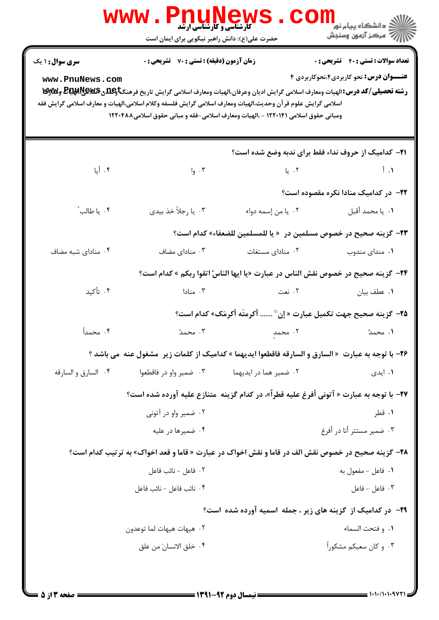| <b>سری سوال : ۱ یک</b> | زمان آزمون (دقیقه) : تستی : 70 قشریحی : 0 |                                                                                                                                                                                                                                                                                                                                                                                                                                                  | <b>تعداد سوالات : تستی : 40 قشریحی : 0</b>                 |
|------------------------|-------------------------------------------|--------------------------------------------------------------------------------------------------------------------------------------------------------------------------------------------------------------------------------------------------------------------------------------------------------------------------------------------------------------------------------------------------------------------------------------------------|------------------------------------------------------------|
| www.PnuNews.com        |                                           | <b>رشته تحصیلی/کد درس: ا</b> لهیات ومعارف اسلامی گرایش ادیان وعرفان،الهیات ومعارف اسلامی گرایش تاریخ فرهنگتاه <b>بالدی @DE وWy</b><br>در استه تحصیلی/کد درس: الهیات ومعارف اسلامی گرایش ادیان وعرفان،الهیات ومعارف اسلامی گرایش تاریخ فرهنگت<br>اسلامی گرایش علوم قر آن وحدیث،الهیات ومعارف اسلامی گرایش فلسفه وکلام اسلامی،الهیات و معارف اسلامی گرایش فقه<br>ومبانی حقوق اسلامی ۱۲۲۰۱۴۱ - ،الهیات ومعارف اسلامی-فقه و مبانی حقوق اسلامی۱۲۲۰۴۸۸ | <b>عنـــوان درس:</b> نحو کاربردی۴،نحوکاربردی ۴             |
|                        |                                           |                                                                                                                                                                                                                                                                                                                                                                                                                                                  | <b>۲۱</b> – کدامیک از حروف نداء فقط برای ندبه وضع شده است؟ |
| ۰۴ أيا                 | ۰۳ وا                                     | $L_{1}$ . The state $\mathcal{L}_{2}$                                                                                                                                                                                                                                                                                                                                                                                                            | $\mathfrak{f}$ . $\mathfrak{f}$                            |
|                        |                                           |                                                                                                                                                                                                                                                                                                                                                                                                                                                  | <b>۲۲</b> - در کدامیک منادا نکره مقصوده است؟               |
| ۰۴ یا طالب ً           | ۰۳ يا رجلاً خذ بيدي                       | ٠٢ يا من إسمه دواء                                                                                                                                                                                                                                                                                                                                                                                                                               | ٠١. يا محمد أقبل                                           |
|                        |                                           | <b>٢٣</b> - كزينه صحيح در خصوص مسلمين در  « يا للمسلمين للضعفاء» كدام است؟                                                                                                                                                                                                                                                                                                                                                                       |                                                            |
| ۰۴ منادای شبه مضاف     | ۰۳ منادای مضاف                            | ۰۲ منادای مستغاث                                                                                                                                                                                                                                                                                                                                                                                                                                 | ۰۱ مندای مندوب                                             |
|                        |                                           | <b>34</b> – گزينه صحيح در خصوص نقش الناس در عبارت «يا ايها الناسُ اتقوا ربكم » كدام است؟                                                                                                                                                                                                                                                                                                                                                         |                                                            |
| ۰۴ تأکید               | ۰۳ منادا                                  | ۲. نعت                                                                                                                                                                                                                                                                                                                                                                                                                                           | ٠١ عطف بيان                                                |
|                        |                                           | ۲۵– گزینه صحیح جهت تکمیل عبارت « إن°  أكرمتَه أكرمَك» كدام است؟                                                                                                                                                                                                                                                                                                                                                                                  |                                                            |
| ۰۴ محمداً              | ۰۳ محمدٌ                                  | ٢. محمدٍ                                                                                                                                                                                                                                                                                                                                                                                                                                         | ۱. محمدٌ                                                   |
|                        |                                           | <b>۲۶</b> - با توجه به عبارت  « السارق و السارقه فاقطعوا ايديهما » كداميك از كلمات زير  مشغول عنه  مي باشد ؟                                                                                                                                                                                                                                                                                                                                     |                                                            |
| ۰۴ السارق و السارقه    | ۰۳ ضمیر واو در فاقطعوا                    | ۰۲ ضمیر هما در ایدیهما                                                                                                                                                                                                                                                                                                                                                                                                                           | ۰۱ ایدی                                                    |
|                        |                                           | <b>٢٧-</b> با توجه به عبارت « آتوني أفرغ عليه قطراً»، در كدام گزينه  متنازع عليه آورده شده است؟                                                                                                                                                                                                                                                                                                                                                  |                                                            |
|                        | ۰۲ ضمیر واو در آتونی                      |                                                                                                                                                                                                                                                                                                                                                                                                                                                  | ۰۱ قطر                                                     |
|                        | ۰۴ ضمیرها در علیه                         |                                                                                                                                                                                                                                                                                                                                                                                                                                                  | ۰۳ ضمیر مستتر أنا در أفرغ                                  |
|                        |                                           | <b>۲۸</b> - گزینه صحیح در خصوص نقش الف در قاما و نقش اخواک در عبارت « قاما و قعد اخواک» به ترتیب کدام است؟                                                                                                                                                                                                                                                                                                                                       |                                                            |
|                        | ٠٢ فاعل - نائب فاعل                       |                                                                                                                                                                                                                                                                                                                                                                                                                                                  | ۰۱ فاعل - مفعول به                                         |
|                        | ۰۴ نائب فاعل - نائب فاعل                  |                                                                                                                                                                                                                                                                                                                                                                                                                                                  | ۰۳ فاعل - فاعل                                             |
|                        |                                           | <b>۲۹</b> - در کدامیک از گزینه های زیر ، جمله اسمیه آورده شده است؟                                                                                                                                                                                                                                                                                                                                                                               |                                                            |
|                        | ۰۲ هیهات هیهات لما توعدون                 |                                                                                                                                                                                                                                                                                                                                                                                                                                                  | ٠١. و فتحت السماء                                          |
|                        | ٠۴ خلق الانسانَ من علق                    |                                                                                                                                                                                                                                                                                                                                                                                                                                                  | ۰۳ و کان سعیکم مشکوراً                                     |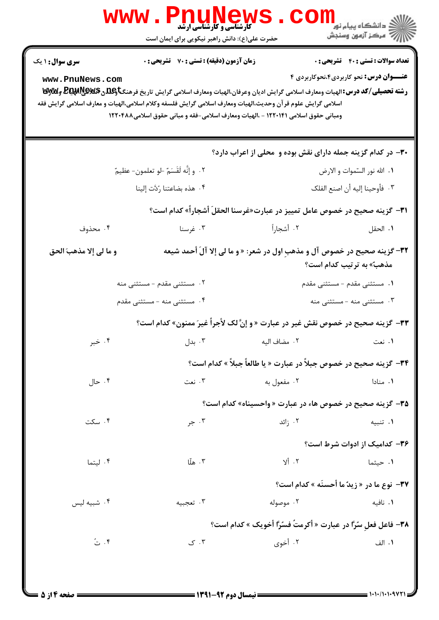| سری سوال: ۱ یک                                                                                                                                                                                                                                                                      | زمان آزمون (دقیقه) : تستی : 70 گشریحی : 0 |                                                                                   | <b>تعداد سوالات : تستي : 40 ٪ تشريحي : 0</b>      |
|-------------------------------------------------------------------------------------------------------------------------------------------------------------------------------------------------------------------------------------------------------------------------------------|-------------------------------------------|-----------------------------------------------------------------------------------|---------------------------------------------------|
| www.PnuNews.com<br><b>رشته تحصیلی/کد درس: ا</b> لهیات ومعارف اسلامی گرایش ادیان وعرفان،الهیات ومعارف اسلامی گرایش تاریخ فرهنگ <b>تاوگلدن BEپهلوپالاپالا</b> ق توگلای<br>اسلامی گرایش علوم قر آن وحدیث،الهیات ومعارف اسلامی گرایش فلسفه وکلام اسلامی،الهیات و معارف اسلامی گرایش فقه |                                           | ومبانی حقوق اسلامی ۱۲۲۰۱۴۱ - ،الهیات ومعارف اسلامی-فقه و مبانی حقوق اسلامی۱۲۲۰۴۸۸ | <b>عنـــوان درس:</b> نحو کاربردی۴،نحوکاربردی ۴    |
|                                                                                                                                                                                                                                                                                     |                                           | ۳۰– در کدام گزینه جمله دارای نقش بوده و محلی از اعراب دارد؟                       |                                                   |
|                                                                                                                                                                                                                                                                                     | ٢. وإنَّه لَقَسَمٌ -لو تعلمون- عظيمٌ      |                                                                                   | ۰۱ الله نور السّموات و الارض                      |
|                                                                                                                                                                                                                                                                                     | ٠۴ هذه بضاعتنا رُدَّت إلينا               |                                                                                   | ٢.  فأوحينا إليه أن اصنع الفلك                    |
|                                                                                                                                                                                                                                                                                     |                                           | ٣١- گزينه صحيح در خصوص عامل تمييز در عبارت«غرسنا الحقلَ أشجاراً» كدام است؟        |                                                   |
| ۰۴ محذوف                                                                                                                                                                                                                                                                            | ۰۳ غرسنا                                  | ٢. أشجاراً                                                                        | ٠١. الحقل                                         |
| و ما لي إلا مذهبَ الحق                                                                                                                                                                                                                                                              |                                           | ٣٢- گزينه صحيح در خصوص آل و مذهبِ اول در شعر: « و ما لي إلا آلَ أحمد شيعه         | مذهبٌ» به ترتیب کدام است؟                         |
|                                                                                                                                                                                                                                                                                     | ۰۲ مستثنی مقدم - مستثنی منه               |                                                                                   | ۰۱ مستثنی مقدم - مستثنی مقدم                      |
|                                                                                                                                                                                                                                                                                     | ۰۴ مستثنی منه - مستثنی مقدم               |                                                                                   | ۰۳ مستثنی منه - مستثنی منه                        |
|                                                                                                                                                                                                                                                                                     |                                           | 33- گزینه صحیح در خصوص نقش غیر در عبارت « و إنَّ لک لأجراً غیرَ ممنون» کدام است؟  |                                                   |
| ۰۴ خبر                                                                                                                                                                                                                                                                              |                                           |                                                                                   | ۰۱ نعت                                            |
|                                                                                                                                                                                                                                                                                     |                                           | <b>٣۴-</b> گزینه صحیح در خصوص جبلاً در عبارت « یا طالعاً جبلاً » کدام است؟        |                                                   |
| ۰۴ حال                                                                                                                                                                                                                                                                              | ۰۳ نعت                                    | ۰۲ مفعول به                                                                       | ۰۱ منادا                                          |
|                                                                                                                                                                                                                                                                                     |                                           | <b>۳۵-</b> گزینه صحیح در خصوص هاء در عبارت « واحسیناه» کدام است؟                  |                                                   |
| ۰۴ سکت                                                                                                                                                                                                                                                                              | ۰۳ جر                                     | ۰۲ زائد                                                                           | ۰۱ تنبيه                                          |
|                                                                                                                                                                                                                                                                                     |                                           |                                                                                   | ۳۶- کدامیک از ادوات شرط است؟                      |
| ۰۴ لیتما                                                                                                                                                                                                                                                                            | ۰۳ هلّا                                   | ۲. ألا                                                                            | ۰۱ حیثما                                          |
|                                                                                                                                                                                                                                                                                     |                                           |                                                                                   | <b>٣٧-</b> نوع ما در « زيدٌ ما أحسنَه » كدام است؟ |
| ۰۴ شبیه لیس                                                                                                                                                                                                                                                                         | ۰۳ تعجبيه                                 | ۰۲ موصوله                                                                         | ۰۱ نافیه                                          |
|                                                                                                                                                                                                                                                                                     |                                           | <b>٣٨- فاعل فعلِ سُرًّا در عبارت « أكرمتُ فسُرًّا أخويك » كدام است؟</b>           |                                                   |
|                                                                                                                                                                                                                                                                                     |                                           | ۰۲ أخوي                                                                           |                                                   |

 $1 - 1 - 1 - 1 - 9$